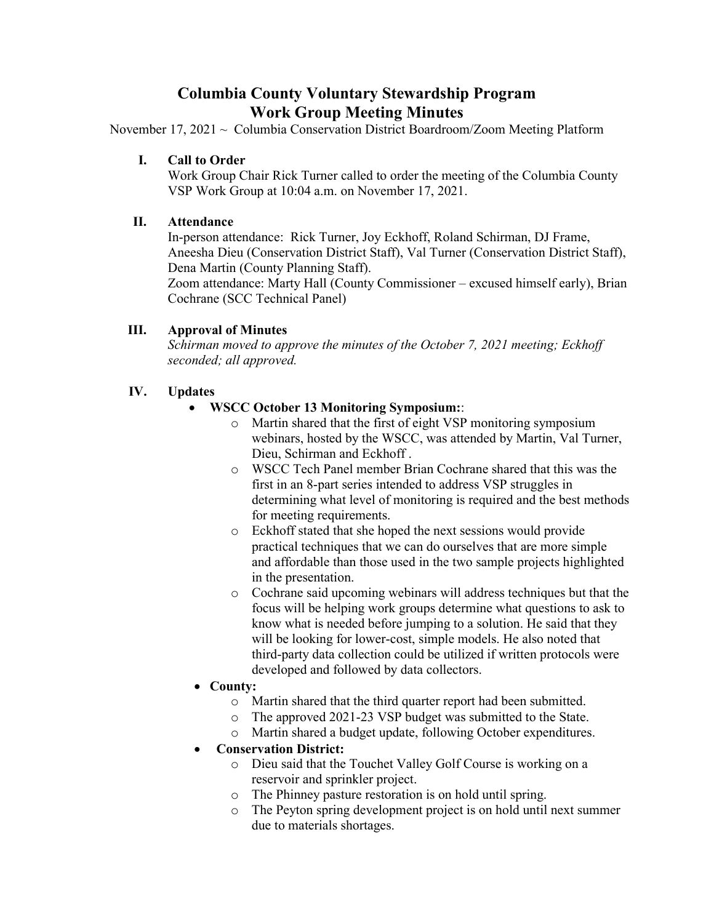# **Columbia County Voluntary Stewardship Program Work Group Meeting Minutes**

November 17, 2021 ~ Columbia Conservation District Boardroom/Zoom Meeting Platform

## **I. Call to Order**

Work Group Chair Rick Turner called to order the meeting of the Columbia County VSP Work Group at 10:04 a.m. on November 17, 2021.

#### **II. Attendance**

In-person attendance: Rick Turner, Joy Eckhoff, Roland Schirman, DJ Frame, Aneesha Dieu (Conservation District Staff), Val Turner (Conservation District Staff), Dena Martin (County Planning Staff).

Zoom attendance: Marty Hall (County Commissioner – excused himself early), Brian Cochrane (SCC Technical Panel)

# **III. Approval of Minutes**

*Schirman moved to approve the minutes of the October 7, 2021 meeting; Eckhoff seconded; all approved.* 

# **IV. Updates**

- **WSCC October 13 Monitoring Symposium:**:
	- o Martin shared that the first of eight VSP monitoring symposium webinars, hosted by the WSCC, was attended by Martin, Val Turner, Dieu, Schirman and Eckhoff .
	- o WSCC Tech Panel member Brian Cochrane shared that this was the first in an 8-part series intended to address VSP struggles in determining what level of monitoring is required and the best methods for meeting requirements.
	- o Eckhoff stated that she hoped the next sessions would provide practical techniques that we can do ourselves that are more simple and affordable than those used in the two sample projects highlighted in the presentation.
	- o Cochrane said upcoming webinars will address techniques but that the focus will be helping work groups determine what questions to ask to know what is needed before jumping to a solution. He said that they will be looking for lower-cost, simple models. He also noted that third-party data collection could be utilized if written protocols were developed and followed by data collectors.
- **County:** 
	- o Martin shared that the third quarter report had been submitted.
	- o The approved 2021-23 VSP budget was submitted to the State.
	- o Martin shared a budget update, following October expenditures.

# • **Conservation District:**

- o Dieu said that the Touchet Valley Golf Course is working on a reservoir and sprinkler project.
- o The Phinney pasture restoration is on hold until spring.
- o The Peyton spring development project is on hold until next summer due to materials shortages.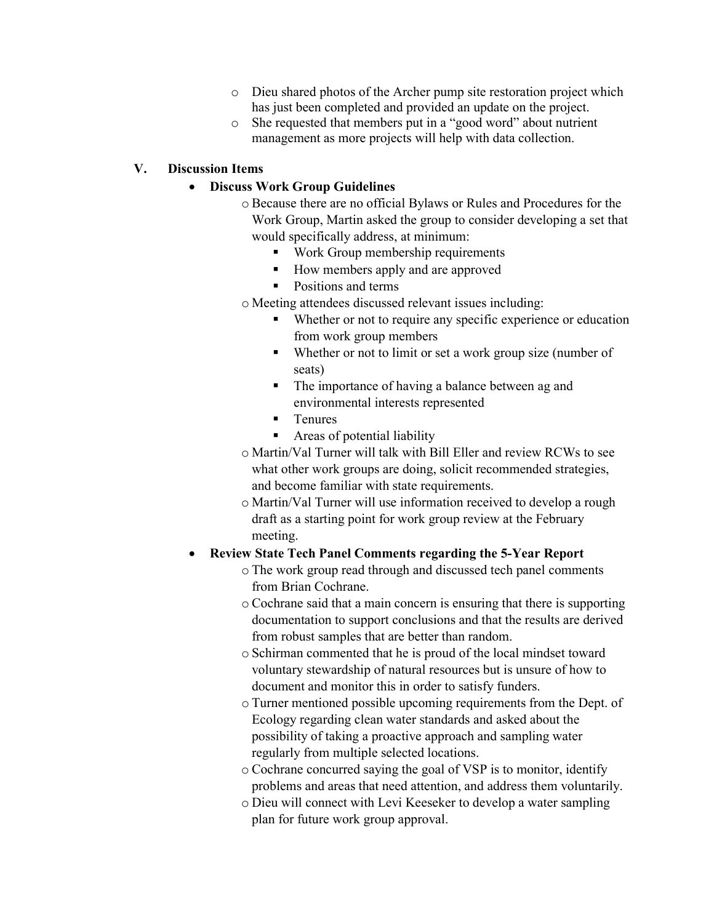- o Dieu shared photos of the Archer pump site restoration project which has just been completed and provided an update on the project.
- o She requested that members put in a "good word" about nutrient management as more projects will help with data collection.

#### **V. Discussion Items**

#### • **Discuss Work Group Guidelines**

- o Because there are no official Bylaws or Rules and Procedures for the Work Group, Martin asked the group to consider developing a set that would specifically address, at minimum:
	- Work Group membership requirements
	- How members apply and are approved
	- Positions and terms
	- o Meeting attendees discussed relevant issues including:
		- Whether or not to require any specific experience or education from work group members
		- Whether or not to limit or set a work group size (number of seats)
		- The importance of having a balance between ag and environmental interests represented
		- Tenures
		- Areas of potential liability
	- o Martin/Val Turner will talk with Bill Eller and review RCWs to see what other work groups are doing, solicit recommended strategies, and become familiar with state requirements.
	- o Martin/Val Turner will use information received to develop a rough draft as a starting point for work group review at the February meeting.

# • **Review State Tech Panel Comments regarding the 5-Year Report**

- o The work group read through and discussed tech panel comments from Brian Cochrane.
- o Cochrane said that a main concern is ensuring that there is supporting documentation to support conclusions and that the results are derived from robust samples that are better than random.
- o Schirman commented that he is proud of the local mindset toward voluntary stewardship of natural resources but is unsure of how to document and monitor this in order to satisfy funders.
- o Turner mentioned possible upcoming requirements from the Dept. of Ecology regarding clean water standards and asked about the possibility of taking a proactive approach and sampling water regularly from multiple selected locations.
- o Cochrane concurred saying the goal of VSP is to monitor, identify problems and areas that need attention, and address them voluntarily.
- o Dieu will connect with Levi Keeseker to develop a water sampling plan for future work group approval.